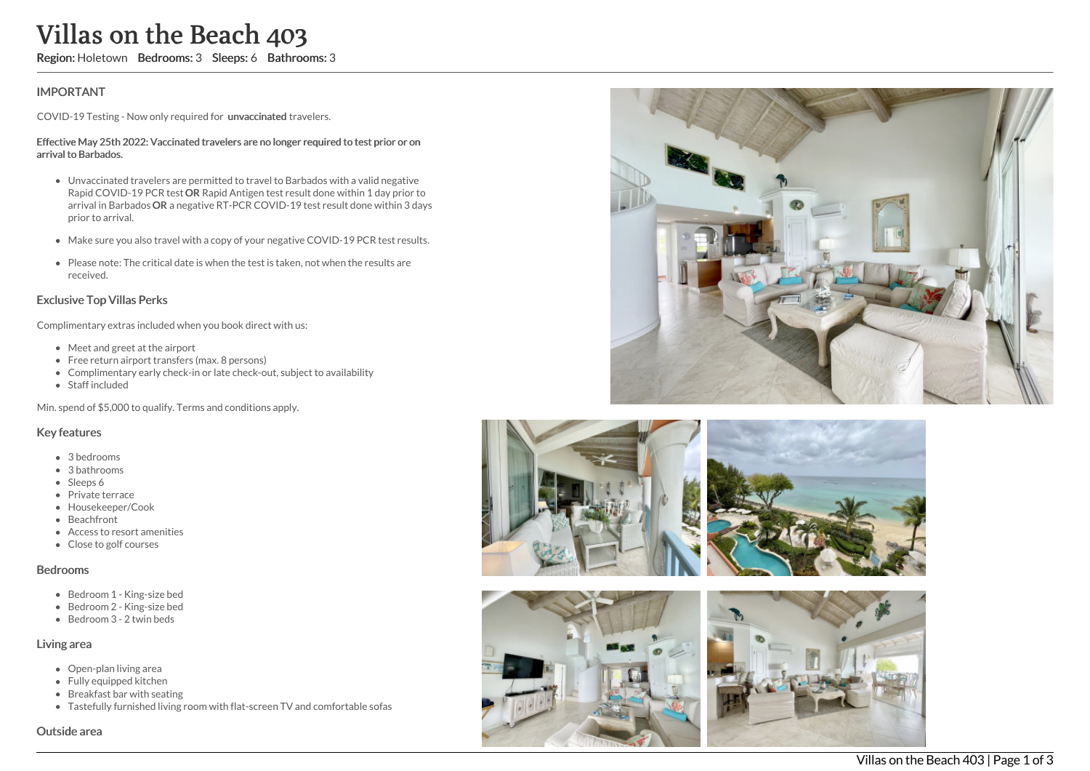# Villas on the Beach 403

Region: Holetown Bedrooms: 3 Sleeps: 6 Bathrooms: 3

## IMPORTANT

COVID-19 Testing - Now only required for unvaccinated travelers.

#### Effective May 25th 2022: Vaccinated travelers are no longer required to test prior or on arrival to Barbados.

- Unvaccinated travelers are permitted to travel to Barbados with a valid negative Rapid COVID-19 PCR test OR Rapid Antigen test result done within 1 day prior to arrival in Barbados OR a negative RT-PCR COVID-19 test result done within 3 days prior to arrival.
- Make sure you also travel with a copy of your negative COVID-19 PCR test results.
- Please note: The critical date is when the test is taken, not when the results are received.

### Exclusive Top Villas Perks

Complimentary extras included when you book direct with us:

- Meet and greet at the airport
- Free return airport transfers (max. 8 persons)
- Complimentary early check-in or late check-out, subject to availability
- Staff included

Min. spend of \$5,000 to qualify. Terms and conditions apply.

#### Key features

- 3 bedrooms
- 3 bathrooms
- Sleeps 6
- Private terrace
- Housekeeper/Cook
- Beachfront
- Access to resort amenities
- Close to golf courses

#### Bedrooms

- Bedroom 1 King-size bed
- Bedroom 2 King-size bed
- $\bullet$  Bedroom 3 2 twin beds

#### Living area

- Open-plan living area
- Fully equipped kitchen
- Breakfast bar with seating
- Tastefully furnished living room with flat-screen TV and comfortable sofas

#### Outside area







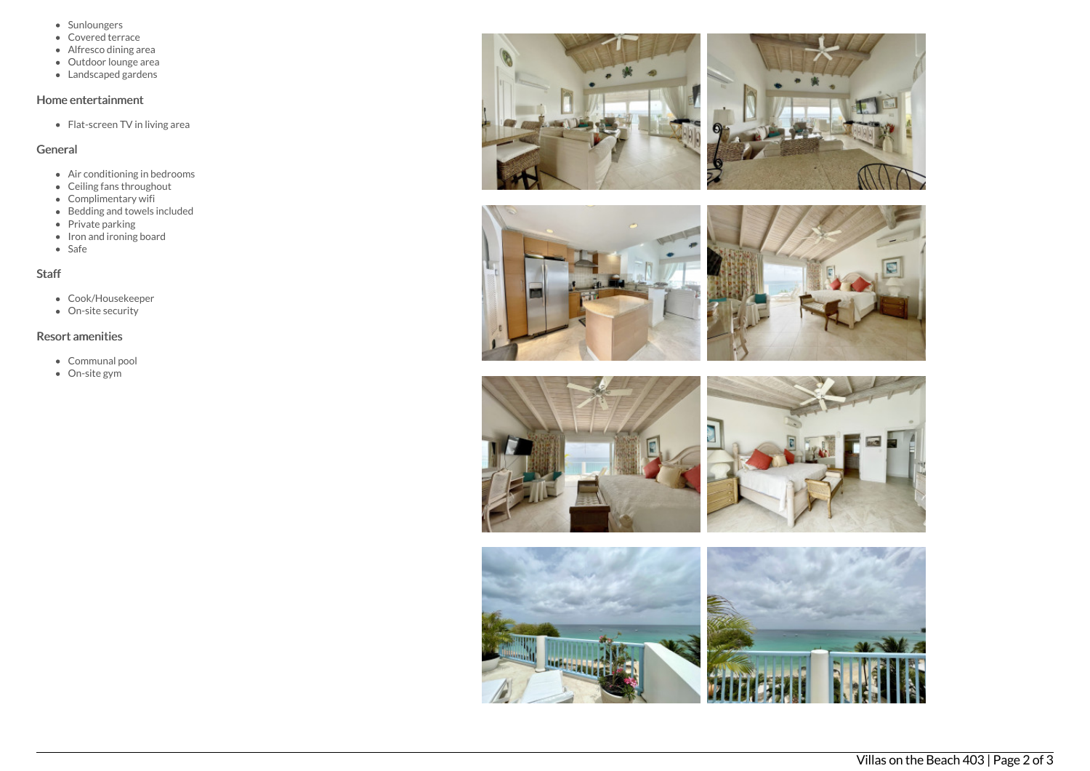- Sunloungers
- Covered terrace
- Alfresco dining area
- Outdoor lounge area
- Landscaped gardens

## Home entertainment

Flat-screen TV in living area

## General

- Air conditioning in bedrooms
- Ceiling fans throughout
- Complimentary wifi
- Bedding and towels included
- Private parking
- Iron and ironing board
- Safe

## **Staff**

- Cook/Housekeeper
- On-site security

## Resort amenities

- Communal pool
- On-site gym